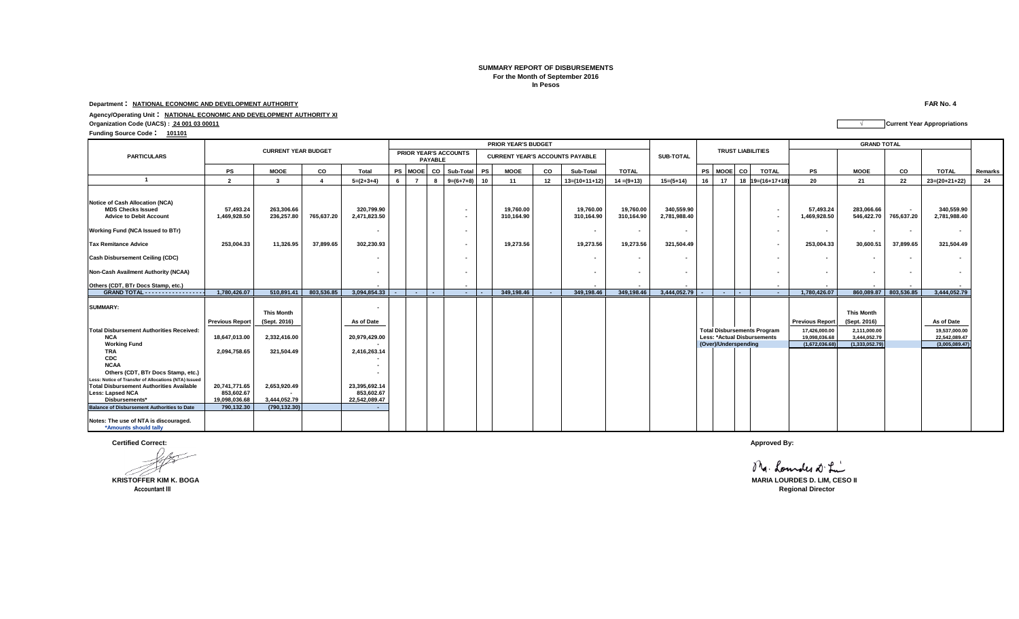## **SUMMARY REPORT OF DISBURSEMENTS For the Month of September 2016 In Pesos**

**Department : NATIONAL ECONOMIC AND DEVELOPMENT AUTHORITY FAR No. 4**

**Agency/Operating Unit : NATIONAL ECONOMIC AND DEVELOPMENT AUTHORITY XI Organization Code (UACS) : 24 001 03 00011 √ Current Year Appropriations**

**Funding Source Code : <sup>101101</sup>**

PS | MOOE | CO | Total |PS |MOOE |CO |Sub-Total |PS | MOOE | CO | Sub-Total | TOTAL | |PS |MOOE |CO | TOTAL 2 3 4 5=(2+3+4) 6 7 8 9=(6+7+8) 10 11 12 13=(10+11+12) 14=(9+13) 15=(5+14) 16 17 18 19=(16+17+18 20 21 22 2=(20+21+22) 24 **Notice of Cash Allocation (NCA)** MDS Checks Issued 57,493.24 | 263,306.66 | 320,799.90 | 1 19,760.00 | 19,760.00 | 19,760.00 | 340,559.90 | 57,493.24 | 283,066.66 | 340,559.90 **Advice to Debit Account 1,469,928.50 236,257.80 765,637.20 2,471,823.50 - 310,164.90 310,164.90 310,164.90 2,781,988.40 - 1,469,928.50 546,422.70 765,637.20 2,781,988.40 Working Fund (NCA Issued to BTr) - - - - - - - - - -** Tax Remitance Advice 253,004.33 | 11,326.95 | 37,899.65 | 302,230.93 | 19,273.56 | 19,273.56 | 321,504.49 | 253,004.33 | 30,600.51 | 37,899.65 | 321,504.49 **Cash Disbursement Ceiling (CDC) - - - - - - - - - - Non-Cash Availment Authority (NCAA) - - - - - - - - - - Others (CDT, BTr Docs Stamp, etc.) - - - - - - - - - - GRAND TOTAL - - - - - - - - - - - - - - - - - - - > 1,780,426.07 510,891.41 803,536.85 3,094,854.33 - - - - - 349,198.46 - 349,198.46 349,198.46 3,444,052.79 - - - - 1,780,426.07 860,089.87 803,536.85 3,444,052.79** SUMMARY: **Previous Report This Month (Sept. 2016) As of Date Previous Report This Month (Sept. 2016) As of Date Total Disbursement Authorities Received: Total Disbursements Program 17,426,000.00 2,111,000.00 19,537,000.00 NCA 18,647,013.00 2,332,416.00 20,979,429.00 Less: \*Actual Disbursements 19,098,036.68 3,444,052.79 22,542,089.47 Working Fund - (Over)/Underspending (1,672,036.68) (1,333,052.79) (3,005,089.47) TRA 2,094,758.65 321,504.49 2,416,263.14 CDC - NCAA - Others (CDT, BTr Docs Stamp, etc.) - Less: Notice of Transfer of Allocations (NTA) Issued** Total Disbursement Authorities Available **20,741,771.65** 2,653,920.49 23,395,692.14<br>Less: Lapsed NCA 853,602.67 853,602.67 Less: Lapsed NCA **853,602.67** 853,602.67<br>Disbursements\* 19,098,036.68 3,444,052.79 **Disbursements\* 19,098,036.68 3,444,052.79 22,542,089.47 Branch Communist Communist Communist Communist Communist Communist Communist Communist Communist Communist Communist Communist Communist Communist Communist Communist Communist Communist Communist Communist Communist Comm Notes: The use of NTA is discouraged. \*Amounts should tally 1 PARTICULARS PRIOR YEAR'S BUDGET AND RESOLUTION CONSUMING A RESOLUTION CONSUMING A RESOLUTION CONSUMING A RAND TOTAL CONSUMING A RAND TOTAL CONSUMING A RAND TOTAL CONSUMING A RAND TOTAL CONSUMING A RAND TOTAL CONSUMING A RAND TOTAL CO TOTAL PS MOOE CO TOTAL Remarks PRIOR YEAR'S ACCOUNTS PAYABLE CURRENT YEAR'S ACCOUNTS PAYABLE CURRENT YEAR BUDGET SUB-TOTAL TRUST LIABILITIES** 

**Certified Correct: Approved By:**

 **Accountant III Regional Director**

Mr. Loundes at Lui

**KRISTOFFER KIM K. BOGA MARIA LOURDES D. LIM, CESO II**